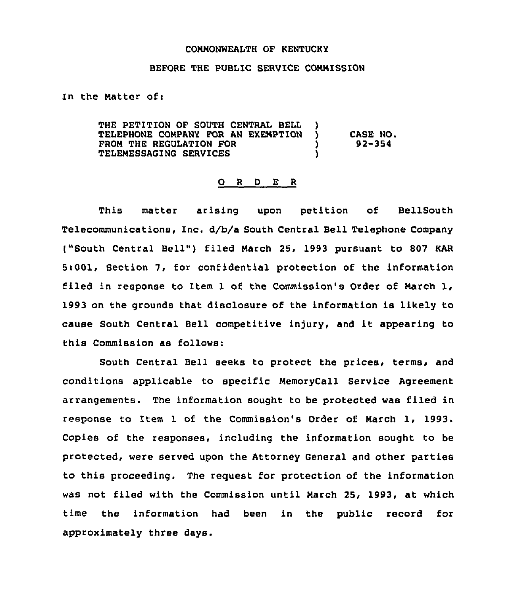## COMMONWEALTH OF KENTUCKY

## BEFORE THE PUBLIC SERVICE COMMISSION

In the Matter of:

THE PETITION OF SOUTH CENTRAL BELL )<br>TELEPHONE COMPANY FOR AN EXEMPTION ) TELEPHONE COMPANY FOR AN EXEMPTION ) CASE NO. FROM THE REGULATION FOR  $\begin{array}{ccc} \texttt{PROM} & \texttt{ORE} & \texttt{PROR} \ \texttt{TELEMESSAGING} & \texttt{SERVICES} & \texttt{OSERVEES} \end{array}$ TELEMESSAGING SERVICES )

## 0 <sup>R</sup> <sup>D</sup> E <sup>R</sup>

This matter arising upon petition of BellSouth Telecommunications, Inc. d/b/a South Central Bell Telephone Company ("South Central Bell") filed March 25, 1993 pursuant to 807 KAR 5:001, Section 7, for confidential protection of the information filed in response to Item 1 of the Commission's Order of March 1, 1993 on the grounds that disclosure of the information is likely to cause South Central Bell competitive in)ury, and it appearing to this Commission as follows:

South Central Bell seeks to protect the prices, terms, and conditions applicable to specific MemoryCall Service Agreement arrangements. The information sought to be protected was filed in response to Item 1 of the Commission's Order of March 1, 1993. Copies of the responses, including the information sought to be protected, were served upon the Attorney General and other parties to this proceeding. The request for protection of the information was not filed with the Commission until March 25, 1993, at which time the information had been in the public record for approximately three days.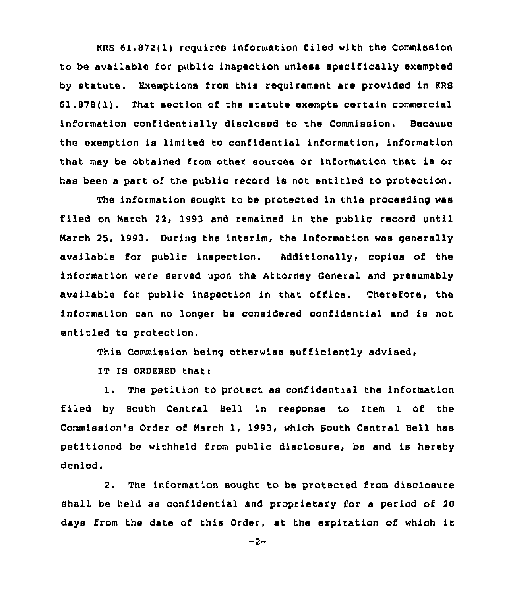KRS 61.872(1) requires information filed with the Commission to be available for public inspection unless specifically exempted by statute. Exemptions from this requirement are provided in KRS 61.878(1). That section of the statute exempts certain commercial information confidentially disclosed to the Commission. Because the exemption is limited to confidential information, information that may be obtained from other sources or information that is or has been <sup>a</sup> part of'he public record is not entitled to protection.

The information sought to be protected in this proceeding was flied on March 22, 1993 and remained in the public record until March 25, 1993. During the interim, the information was generally available for public inspection. Additionally, copies of the information were served upon the Attorney General and presumably avai1able for public inspection in that office. Therefore, the information can no longer be considered confidential and is not entitled to protection.

This Commission being otherwise sufficiently advised,

IT IS ORDERED that:

1. The petition to protect as confidential the information filed by South Central Bell in response to Item 1 of the Commission's Order of March 1, 1993, which South Central Bell has petitioned be withheld from public disclosure, be and is hereby denied.

2. The information sought to be protected from disclosure shall be held as confidential and proprietary for a period of 20 days from the date of this Order, at the expiration of which it

 $-2-$